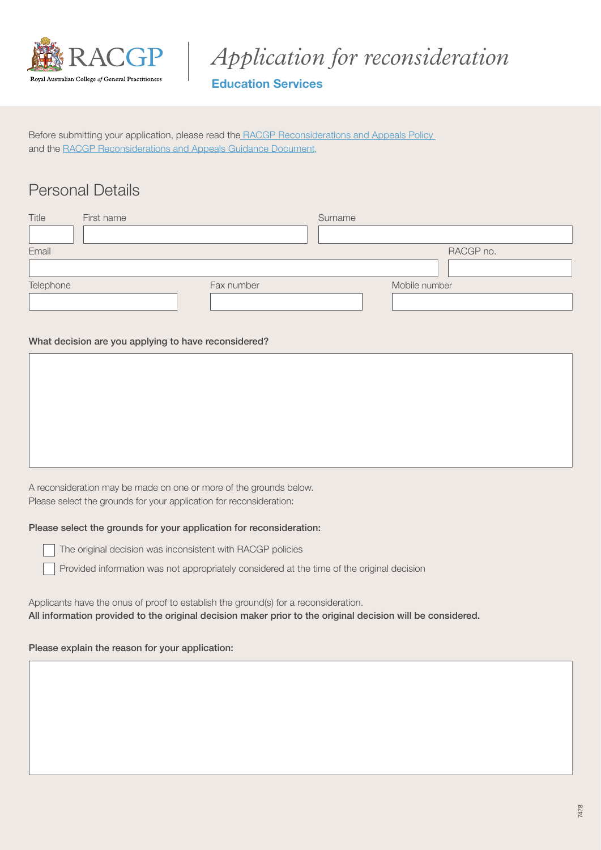

*Application for reconsideration*

### Education Services

Before submitting your application, please read the [RACGP Reconsiderations and Appeals Policy](https://www.racgp.org.au/education/registrars/fellowship-pathways/policy-framework/policies/reconsiderations-and-appeals)  and the [RACGP Reconsiderations and Appeals Guidance Document.](https://www.racgp.org.au/education/registrars/fellowship-pathways/policy-framework/guidance-documents/reconsiderations-and-appeals)

## Personal Details

| Title     | First name |            | Surname |               |
|-----------|------------|------------|---------|---------------|
|           |            |            |         |               |
| Email     |            |            |         | RACGP no.     |
|           |            |            |         |               |
| Telephone |            | Fax number |         | Mobile number |
|           |            |            |         |               |

#### What decision are you applying to have reconsidered?

A reconsideration may be made on one or more of the grounds below. Please select the grounds for your application for reconsideration:

#### Please select the grounds for your application for reconsideration:

The original decision was inconsistent with RACGP policies

Provided information was not appropriately considered at the time of the original decision

Applicants have the onus of proof to establish the ground(s) for a reconsideration. All information provided to the original decision maker prior to the original decision will be considered.

#### Please explain the reason for your application: